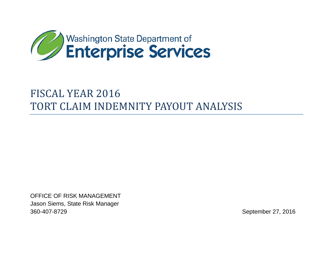

# FISCAL YEAR 2016 TORT CLAIM INDEMNITY PAYOUT ANALYSIS

OFFICE OF RISK MANAGEMENT Jason Siems, State Risk Manager 360-407-8729 September 27, 2016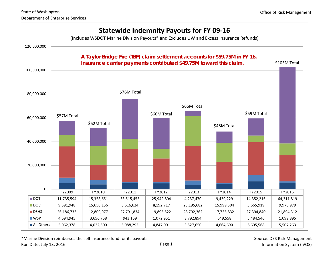

\*Marine Division reimburses the self insurance fund for its payouts.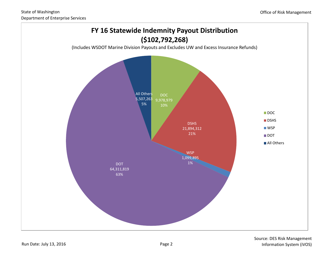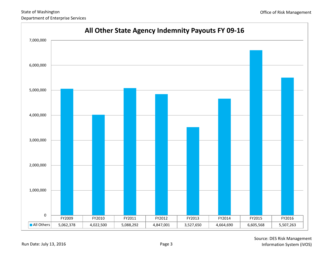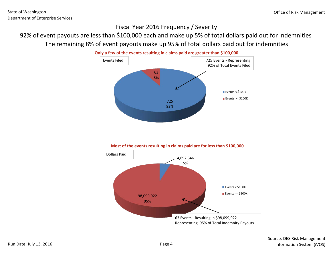## Fiscal Year 2016 Frequency / Severity

# 92% of event payouts are less than \$100,000 each and make up 5% of total dollars paid out for indemnities The remaining 8% of event payouts make up 95% of total dollars paid out for indemnities



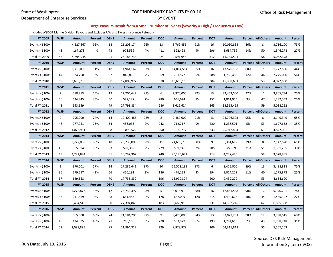#### State of Washington Department of Enterprise Services

#### TORT INDEMNITY PAYOUTS FY 09-16 BY EVENT

#### **Large Payouts Result from a Small Number of Events (Severity = High / Frequency = Low)**

(Includes WSDOT Marine Division Payouts and Excludes UW and Excess Insurance Refunds)

| FY 2009           | <b>WSP</b>     | Amount        | Percent | <b>DSHS</b> | <b>Amount</b> | Percent | <b>DOC</b> | <b>Amount</b> | Percent | <b>DOT</b> | Amount        |     | Percent   All Others | Amount        | Percent |
|-------------------|----------------|---------------|---------|-------------|---------------|---------|------------|---------------|---------|------------|---------------|-----|----------------------|---------------|---------|
| Events $>$ \$100K | 4              | 4,527,667     | 96%     | 18          | 25,208,174    | 96%     | 13         | 8,769,455     | 91%     | 16         | 10,050,835    | 86% | 8                    | 3,716,100     | 73%     |
| Events $<$ \$100K | 48             | 167,278       | 4%      | 73          | 978,559       | 4%      | 411        | 822,493       | 9%      | 296        | 1,684,759     | 14% | 50                   | 1,346,278     | 27%     |
| Total FY 2009     | 52             | 4,694,945     |         | 91          | 26,186,733    |         | 424        | 9,591,948     |         | 312        | 11,735,594    |     | 58                   | 5,062,378     |         |
| FY 2010           | <b>WSP</b>     | <b>Amount</b> | Percent | <b>DSHS</b> | <b>Amount</b> | Percent | <b>DOC</b> | <b>Amount</b> | Percent | <b>DOT</b> | <b>Amount</b> |     | Percent All Others   | <b>Amount</b> | Percent |
| Events $>$ \$100K | 3              | 3,332,000     | 91%     | 18          | 11,961,162    | 93%     | 11         | 14,864,584    | 95%     | 16         | 13,570,168    | 88% | 7                    | 1,777,500     | 44%     |
| Events $<$ \$100K | 47             | 324,758       | 9%      | 62          | 848,816       | 7%      | 359        | 791,572       | 5%      | 288        | 1,788,483     | 12% | 46                   | 2,245,000     | 56%     |
| Total FY 2010     | 50             | 3,656,758     |         | 80          | 12,809,977    |         | 370        | 15,656,156    |         | 304        | 15,358,651    |     | 53                   | 4,022,500     |         |
| FY 2011           | <b>WSP</b>     | Amount        | Percent | <b>DSHS</b> | <b>Amount</b> | Percent | <b>DOC</b> | Amount        | Percent | <b>DOT</b> | Amount        |     | Percent   All Others | <b>Amount</b> | Percent |
| Events $>$ \$100K | $\overline{2}$ | 518,813       | 55%     | 19          | 27,204,647    | 98%     | 6          | 7,970,000     | 92%     | 13         | 32,453,500    | 97% | 12                   | 3,805,734     | 75%     |
| Events $<$ \$100K | 46             | 424,345       | 45%     | 60          | 587,187       | 2%      | 280        | 646,624       | 8%      | 252        | 1,061,955     | 3%  | 47                   | 1,282,559     | 25%     |
| Total FY 2011     | 48             | 943.159       |         | 79          | 27,791,834    |         | 286        | 8,616,624     |         | 265        | 33,515,455    |     | 59                   | 5,088,292     |         |
| FY 2012           | <b>WSP</b>     | Amount        | Percent | <b>DSHS</b> | <b>Amount</b> | Percent | <b>DOC</b> | Amount        | Percent | <b>DOT</b> | Amount        |     | Percent   All Others | Amount        | Percent |
| Events $>$ \$100K | $\overline{2}$ | 795,000       | 74%     | 14          | 19,409,488    | 98%     | 8          | 7,480,000     | 91%     | 13         | 24,706,303    | 95% | 8                    | 3,149,349     | 65%     |
| Events $<$ \$100K | 48             | 277,951       | 26%     | 54          | 486,033       | 2%      | 242        | 712,717       | 9%      | 220        | 1,236,501     | 5%  | 53                   | 1,697,652     | 35%     |
| Total FY 2012     | 50             | 1,072,951     |         | 68          | 19,895,522    |         | 250        | 8,192,717     |         | 233        | 25,942,804    |     | 61                   | 4,847,001     |         |
|                   |                |               |         |             |               |         |            |               |         |            |               |     |                      |               |         |
| FY 2013           | <b>WSP</b>     | Amount        | Percent | <b>DSHS</b> | Amount        | Percent | <b>DOC</b> | Amount        | Percent | <b>DOT</b> | Amount        |     | Percent   All Others | Amount        | Percent |
| Events $>$ \$100K | 3              | 3,227,000     | 85%     | 18          | 28,230,000    | 98%     | 11         | 24,685,736    | 98%     | 9          | 3,361,612     | 79% | 8                    | 2,147,620     | 61%     |
| Events < \$100K   | 45             | 565,894       | 15%     | 63          | 562,362       | 2%      | 229        | 509,946       | 2%      | 205        | 875,859       | 21% | 51                   | 1,381,265     | 39%     |
| Total FY 2013     | 48             | 3,792,894     |         | 81          | 28,792,362    |         | 240        | 25,195,682    |         | 214        | 4,237,470     |     | 59                   | 3,528,885     |         |
| FY 2014           | <b>WSP</b>     | Amount        | Percent | <b>DSHS</b> | Amount        | Percent | <b>DOC</b> | Amount        | Percent | <b>DOT</b> | Amount        |     | Percent   All Others | Amount        | Percent |
| Events $>$ \$100K | 1              | 370,001       | 57%     | 14          | 17,285,641    | 97%     | 10         | 15,523,181    | 97%     | 6          | 8,425,000     | 89% | 13                   | 3,488,818     | 75%     |
| Events $<$ \$100K | 36             | 279,557       | 43%     | 56          | 450,191       | 3%      | 186        | 476,123       | 3%      | 194        | 1,014,229     | 11% | 40                   | 1,175,873     | 25%     |
| Total FY 2014     | 37             | 649,558       |         | 70          | 17,735,832    |         | 196        | 15,999,304    |         | 200        | 9,439,229     |     | 53                   | 4,664,690     |         |
| FY 2015           | <b>WSP</b>     | Amount        | Percent | <b>DSHS</b> | Amount        | Percent | <b>DOC</b> | Amount        | Percent | <b>DOT</b> | Amount        |     | Percent   All Others | Amount        | Percent |
| Events $>$ \$100K | $\overline{2}$ | 5,272,877     | 96%     | 12          | 26,733,397    | 98%     | 5          | 5,013,910     | 88%     | 16         | 12,861,588    | 90% | 17                   | 5,170,221     | 78%     |
| Events $<$ \$100K | 36             | 211,669       | 4%      | 48          | 661,443       | 2%      | 178        | 652,009       | 12%     | 215        | 1,490,628     | 10% | 45                   | 1,435,347     | 22%     |
| Total FY 2015     | 38             | 5,484,546     |         | 60          | 27,394,840    |         | 183        | 5,665,919     |         | 231        | 14,352,216    |     | 62                   | 6,605,568     |         |
| FY 2016           | <b>WSP</b>     | Amount        | Percent | <b>DSHS</b> | <b>Amount</b> | Percent | <b>DOC</b> | Amount        | Percent | <b>DOT</b> | <b>Amount</b> |     | Percent   All Others | Amount        | Percent |
| Events $>$ \$100K | 3              | 665,000       | 60%     | 24          | 21,184,206    | 97%     | 9          | 9,425,000     | 94%     | 13         | 63,027,201    | 98% | 12                   | 3,798,515     | 69%     |
| Events $<$ \$100K | 48             | 434,895       | 40%     | 71          | 710,106       | 3%      | 220        | 553,979       | 6%      | 193        | 1,284,619     | 2%  | 43                   | 1,708,748     | 31%     |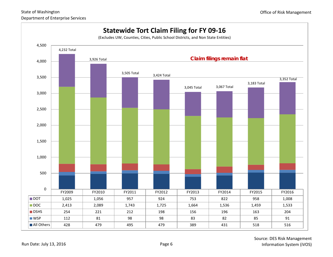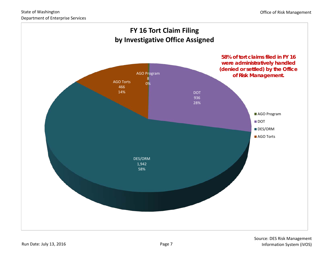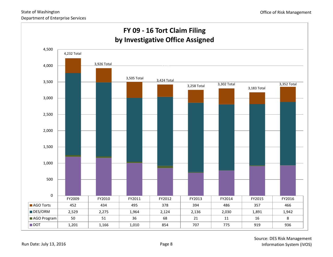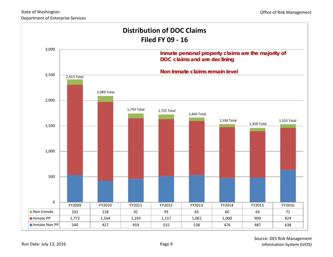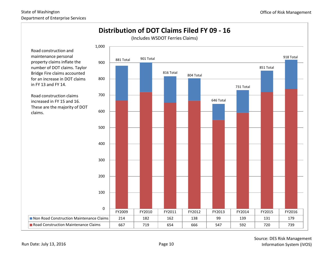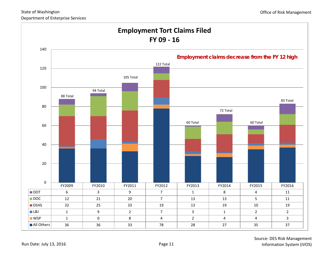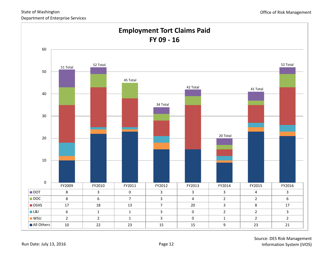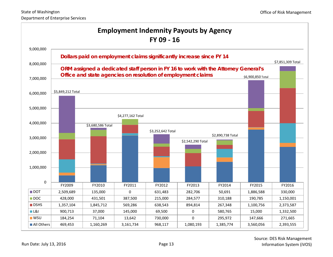| <b>Employment Indemnity Payouts by Agency</b><br>FY 09 - 16 |                                                                                           |                                                              |                   |                   |                   |                   |                   |           |
|-------------------------------------------------------------|-------------------------------------------------------------------------------------------|--------------------------------------------------------------|-------------------|-------------------|-------------------|-------------------|-------------------|-----------|
| 9,000,000                                                   |                                                                                           |                                                              |                   |                   |                   |                   |                   |           |
| 8,000,000                                                   | Dollars paid on employment claims significantly increase since FY 14<br>\$7,851,309 Total |                                                              |                   |                   |                   |                   |                   |           |
|                                                             | ORM assigned a dedicated staff person in FY 16 to work with the Attorney General's        |                                                              |                   |                   |                   |                   |                   |           |
| 7,000,000                                                   |                                                                                           | Office and state agencies on resolution of employment claims |                   |                   |                   |                   | \$6,900,850 Total |           |
|                                                             |                                                                                           |                                                              |                   |                   |                   |                   |                   |           |
| 6,000,000                                                   | \$5,849,212 Total                                                                         |                                                              |                   |                   |                   |                   |                   |           |
|                                                             |                                                                                           |                                                              |                   |                   |                   |                   |                   |           |
| 5,000,000                                                   |                                                                                           |                                                              |                   |                   |                   |                   |                   |           |
|                                                             |                                                                                           |                                                              | \$4,277,162 Total |                   |                   |                   |                   |           |
| 4,000,000                                                   |                                                                                           | \$3,680,586 Total                                            |                   |                   |                   |                   |                   |           |
| 3,000,000                                                   |                                                                                           |                                                              |                   | \$3,252,642 Total |                   | \$2,890,738 Total |                   |           |
|                                                             |                                                                                           |                                                              |                   |                   | \$2,542,290 Total |                   |                   |           |
| 2,000,000                                                   |                                                                                           |                                                              |                   |                   |                   |                   |                   |           |
|                                                             |                                                                                           |                                                              |                   |                   |                   |                   |                   |           |
| 1,000,000                                                   |                                                                                           |                                                              |                   |                   |                   |                   |                   |           |
|                                                             |                                                                                           |                                                              |                   |                   |                   |                   |                   |           |
| $\boldsymbol{0}$                                            | FY2009                                                                                    | FY2010                                                       | FY2011            | FY2012            | FY2013            | FY2014            | FY2015            | FY2016    |
| $\blacksquare$ DOT                                          | 2,509,689                                                                                 | 135,000                                                      | $\Omega$          | 631,483           | 282,706           | 50,691            | 1,886,588         | 330,000   |
| $\blacksquare$ DOC                                          | 428,000                                                                                   | 431,501                                                      | 387,500           | 215,000           | 284,577           | 310,188           | 190,785           | 1,150,001 |
| $\blacksquare$ DSHS                                         | 1,357,104                                                                                 | 1,845,712                                                    | 569,286           | 638,543           | 894,814           | 267,348           | 1,100,756         | 2,373,587 |
| <b>■L&amp;I</b>                                             | 900,713                                                                                   | 37,000                                                       | 145,000           | 69,500            | 0                 | 580,765           | 15,000            | 1,332,500 |
| <b>WSU</b>                                                  | 184,254                                                                                   | 71,104                                                       | 13,642            | 730,000           | 0                 | 295,972           | 147,666           | 271,665   |
| All Others                                                  | 469,453                                                                                   | 1,160,269                                                    | 3,161,734         | 968,117           | 1,080,193         | 1,385,774         | 3,560,056         | 2,393,555 |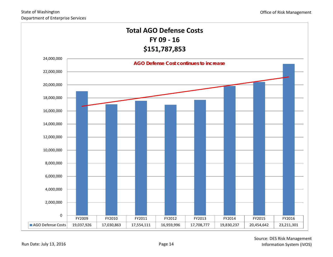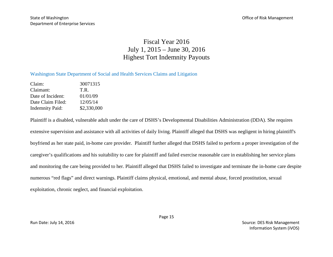## Fiscal Year 2016 July 1, 2015 – June 30, 2016 Highest Tort Indemnity Payouts

### Washington State Department of Social and Health Services Claims and Litigation

Claim: 30071315 Claimant: T.R. Date of Incident: 01/01/09 Date Claim Filed: 12/05/14 Indemnity Paid: \$2,330,000

Plaintiff is a disabled, vulnerable adult under the care of DSHS's Developmental Disabilities Administration (DDA). She requires extensive supervision and assistance with all activities of daily living. Plaintiff alleged that DSHS was negligent in hiring plaintiff's boyfriend as her state paid, in-home care provider. Plaintiff further alleged that DSHS failed to perform a proper investigation of the caregiver's qualifications and his suitability to care for plaintiff and failed exercise reasonable care in establishing her service plans and monitoring the care being provided to her. Plaintiff alleged that DSHS failed to investigate and terminate the in-home care despite numerous "red flags" and direct warnings. Plaintiff claims physical, emotional, and mental abuse, forced prostitution, sexual exploitation, chronic neglect, and financial exploitation.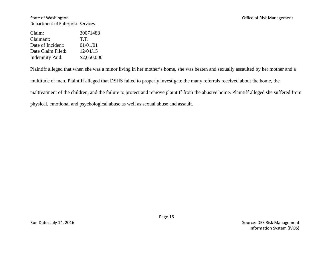#### State of Washington **State of Washington** Christ Management Department of Enterprise Services

| 30071488    |
|-------------|
| T.T.        |
| 01/01/01    |
| 12/04/15    |
| \$2,050,000 |
|             |

Plaintiff alleged that when she was a minor living in her mother's home, she was beaten and sexually assaulted by her mother and a

multitude of men. Plaintiff alleged that DSHS failed to properly investigate the many referrals received about the home, the

maltreatment of the children, and the failure to protect and remove plaintiff from the abusive home. Plaintiff alleged she suffered from

physical, emotional and psychological abuse as well as sexual abuse and assault.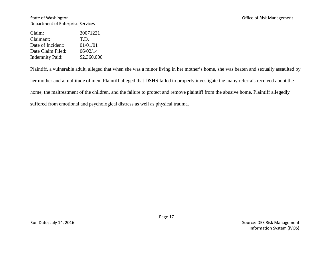#### State of Washington **State of Washington** Christ Management Department of Enterprise Services

| Claim:                 | 30071221    |
|------------------------|-------------|
| Claimant:              | T.D.        |
| Date of Incident:      | 01/01/01    |
| Date Claim Filed:      | 06/02/14    |
| <b>Indemnity Paid:</b> | \$2,360,000 |

Plaintiff, a vulnerable adult, alleged that when she was a minor living in her mother's home, she was beaten and sexually assaulted by her mother and a multitude of men. Plaintiff alleged that DSHS failed to properly investigate the many referrals received about the home, the maltreatment of the children, and the failure to protect and remove plaintiff from the abusive home. Plaintiff allegedly suffered from emotional and psychological distress as well as physical trauma.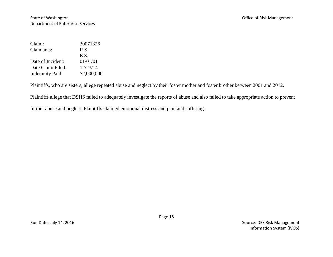| Claim:                 | 30071326    |
|------------------------|-------------|
| Claimants:             | R.S.        |
|                        | E.S.        |
| Date of Incident:      | 01/01/01    |
| Date Claim Filed:      | 12/23/14    |
| <b>Indemnity Paid:</b> | \$2,000,000 |

Plaintiffs, who are sisters, allege repeated abuse and neglect by their foster mother and foster brother between 2001 and 2012.

Plaintiffs allege that DSHS failed to adequately investigate the reports of abuse and also failed to take appropriate action to prevent

further abuse and neglect. Plaintiffs claimed emotional distress and pain and suffering.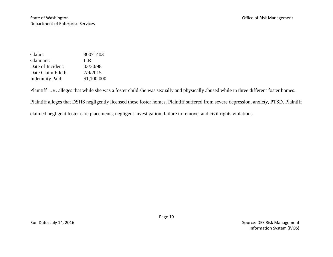| Claim:                 | 30071403    |
|------------------------|-------------|
| Claimant:              | L.R.        |
| Date of Incident:      | 03/30/98    |
| Date Claim Filed:      | 7/9/2015    |
| <b>Indemnity Paid:</b> | \$1,100,000 |

Plaintiff L.R. alleges that while she was a foster child she was sexually and physically abused while in three different foster homes.

Plaintiff alleges that DSHS negligently licensed these foster homes. Plaintiff suffered from severe depression, anxiety, PTSD. Plaintiff

claimed negligent foster care placements, negligent investigation, failure to remove, and civil rights violations.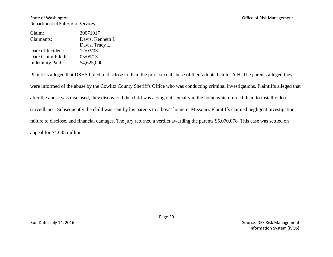State of Washington **State of Washington** Christ Management **Christ** Christ Management **Christ** Christ Management Department of Enterprise Services

| 30071017          |
|-------------------|
| Davis, Kenneth L. |
| Davis, Tracy L.   |
| 12/03/03          |
| 05/09/13          |
| \$4,625,000       |
|                   |

Plaintiffs alleged that DSHS failed to disclose to them the prior sexual abuse of their adopted child, A.H. The parents alleged they were informed of the abuse by the Cowlitz County Sheriff's Office who was conducting criminal investigations. Plaintiffs alleged that after the abuse was disclosed, they discovered the child was acting out sexually in the home which forced them to install video surveillance. Subsequently the child was sent by his parents to a boys' home in Missouri. Plaintiffs claimed negligent investigation, failure to disclose, and financial damages. The jury returned a verdict awarding the parents \$5,070,078. This case was settled on appeal for \$4.635 million.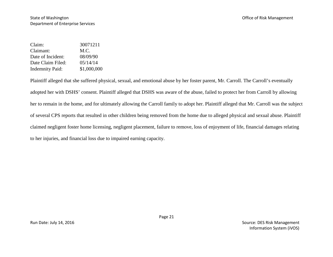| Claim:                 | 30071211    |
|------------------------|-------------|
| Claimant:              | M.C.        |
| Date of Incident:      | 08/09/90    |
| Date Claim Filed:      | 05/14/14    |
| <b>Indemnity Paid:</b> | \$1,000,000 |

Plaintiff alleged that she suffered physical, sexual, and emotional abuse by her foster parent, Mr. Carroll. The Carroll's eventually adopted her with DSHS' consent. Plaintiff alleged that DSHS was aware of the abuse, failed to protect her from Carroll by allowing her to remain in the home, and for ultimately allowing the Carroll family to adopt her. Plaintiff alleged that Mr. Carroll was the subject of several CPS reports that resulted in other children being removed from the home due to alleged physical and sexual abuse. Plaintiff claimed negligent foster home licensing, negligent placement, failure to remove, loss of enjoyment of life, financial damages relating to her injuries, and financial loss due to impaired earning capacity.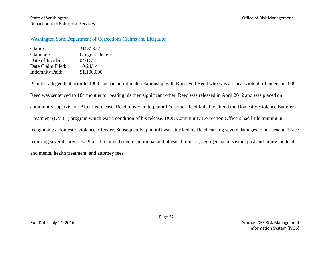State of Washington **State of Washington** Christ Management Christ Associates and Office of Risk Management Department of Enterprise Services

#### Washington State Department of Corrections Claims and Litigation

Claim: 31081622 Claimant: Gregory, Jane E. Date of Incident:  $04/16/12$ Date Claim Filed:  $10/24/14$ Indemnity Paid: \$1,100,000

Plaintiff alleged that prior to 1999 she had an intimate relationship with Roosevelt Reed who was a repeat violent offender. In 1999 Reed was sentenced to 184 months for beating his then significant other. Reed was released in April 2012 and was placed on community supervision. After his release, Reed moved in to plaintiff's home. Reed failed to attend the Domestic Violence Batterers Treatment (DVBT) program which was a condition of his release. DOC Community Correction Officers had little training in recognizing a domestic violence offender. Subsequently, plaintiff was attacked by Reed causing severe damages to her head and face requiring several surgeries. Plaintiff claimed severe emotional and physical injuries, negligent supervision, past and future medical and mental health treatment, and attorney fees.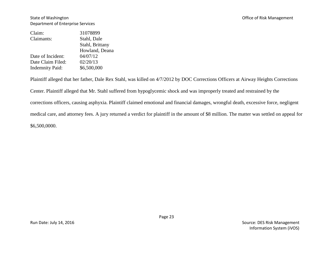| Claim:                 | 31078899        |
|------------------------|-----------------|
| Claimants:             | Stahl, Dale     |
|                        | Stahl, Brittany |
|                        | Howland, Deana  |
| Date of Incident:      | 04/07/12        |
| Date Claim Filed:      | 02/20/13        |
| <b>Indemnity Paid:</b> | \$6,500,000     |
|                        |                 |

Plaintiff alleged that her father, Dale Rex Stahl, was killed on 4/7/2012 by DOC Corrections Officers at Airway Heights Corrections

Center. Plaintiff alleged that Mr. Stahl suffered from hypoglycemic shock and was improperly treated and restrained by the

corrections officers, causing asphyxia. Plaintiff claimed emotional and financial damages, wrongful death, excessive force, negligent

medical care, and attorney fees. A jury returned a verdict for plaintiff in the amount of \$8 million. The matter was settled on appeal for

\$6,500,0000.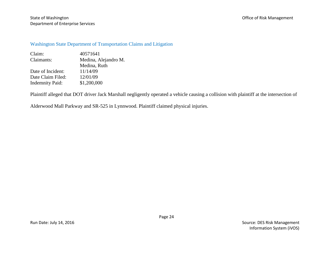## Washington State Department of Transportation Claims and Litigation

| Claim:                 | 40571641             |
|------------------------|----------------------|
| Claimants:             | Medina, Alejandro M. |
|                        | Medina, Ruth         |
| Date of Incident:      | 11/14/09             |
| Date Claim Filed:      | 12/01/09             |
| <b>Indemnity Paid:</b> | \$1,200,000          |

Plaintiff alleged that DOT driver Jack Marshall negligently operated a vehicle causing a collision with plaintiff at the intersection of

Alderwood Mall Parkway and SR-525 in Lynnwood. Plaintiff claimed physical injuries.